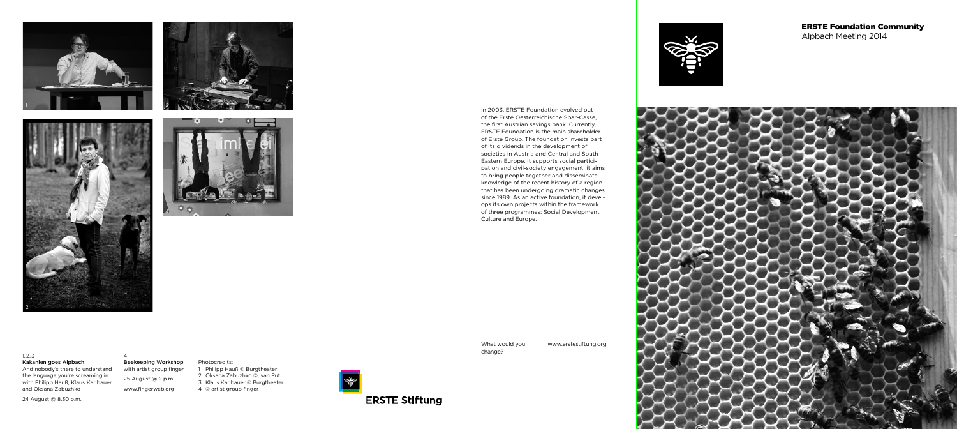What would you change?

www.erstestiftung.org



In 2003, ERSTE Foundation evolved out of the Erste Oesterreichische Spar-Casse, the first Austrian savings bank. Currently, ERSTE Foundation is the main shareholder of Erste Group. The foundation invests part of its dividends in the development of societies in Austria and Central and South Eastern Europe. It supports social participation and civil-society engagement; it aims to bring people together and disseminate knowledge of the recent history of a region that has been undergoing dramatic changes since 1989. As an active foundation, it develops its own projects within the framework of three programmes: Social Development, Culture and Europe.

Photocredits: 1 Philipp Hauß © Burgtheater 2 Oksana Zabuzhko © Ivan Put 3 Klaus Karlbauer © Burgtheater 4 © artist group finger

المنتجة<br>التجانبية

**ERSTE Stiftung** 

## ERSTE Foundation Community Alpbach Meeting 2014











1, 2, 3 Kakanien goes Alpbach

And nobody's there to understand the language you're screaming in… with Philipp Hauß, Klaus Karlbauer and Oksana Zabuzhko

24 August @ 8.30 p.m.

4 Beekeeping Workshop with artist group finger 25 August @ 2 p.m. www.fingerweb.org